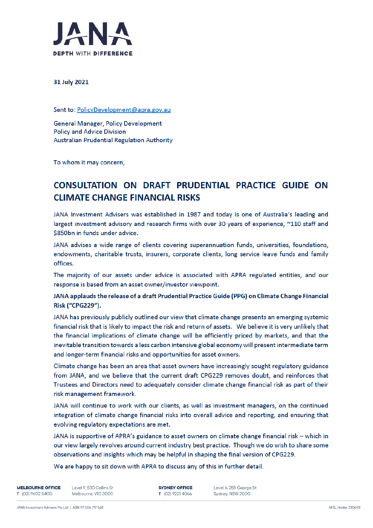

31 July 2021

Sent to: PolicyDevelopment@apra.gov.au

**General Manager, Policy Development Policy and Advice Division Australian Prudential Regulation Authority** 

To whom it may concern,

## CONSULTATION ON DRAFT PRUDENTIAL PRACTICE GUIDE ON **CLIMATE CHANGE FINANCIAL RISKS**

JANA Investment Advisers was established in 1987 and today is one of Australia's leading and largest investment advisory and research firms with over 30 years of experience, ~110 staff and \$850bn in funds under advice.

JANA advises a wide range of clients covering superannuation funds, universities, foundations, endowments, charitable trusts, insurers, corporate clients, long service leave funds and family offices.

The majority of our assets under advice is associated with APRA regulated entities, and our response is based from an asset owner/investor viewpoint.

## JANA applauds the release of a draft Prudential Practice Guide (PPG) on Climate Change Financial Risk ("CPG229").

JANA has previously publicly outlined our view that climate change presents an emerging systemic financial risk that is likely to impact the risk and return of assets. We believe it is very unlikely that the financial implications of climate change will be efficiently priced by markets, and that the inevitable transition towards a less carbon intensive global economy will present intermediate term and longer-term financial risks and opportunities for asset owners.

Climate change has been an area that asset owners have increasingly sought regulatory guidance from JANA, and we believe that the current draft CPG229 removes doubt, and reinforces that Trustees and Directors need to adequately consider climate change financial risk as part of their risk management framework.

JANA will continue to work with our clients, as well as investment managers, on the continued integration of climate change financial risks into overall advice and reporting, and ensuring that evolving regulatory expectations are met.

JANA is supportive of APRA's guidance to asset owners on climate change financial risk - which in our view largely revolves around current industry best practice. Though we do wish to share some observations and insights which may be helpful in shaping the final version of CPG229.

We are happy to sit down with APRA to discuss any of this in further detail.

**MELBOURNE OFFICE** T (03) 9602 5400

Level 9, 530 Collins St Melbourne, VIC 3000 **SYDNEY OFFICE** T (02) 9221 4066

Level 6, 255 George St Sydney, NSW 2000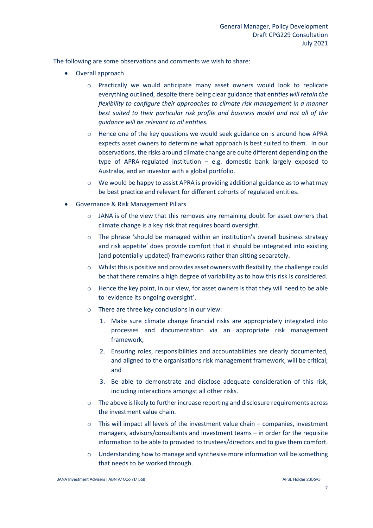The following are some observations and comments we wish to share:

- Overall approach
	- o Practically we would anticipate many asset owners would look to replicate everything outlined, despite there being clear guidance that en*tities will retain the flexibility to configure their approaches to climate risk management in a manner best suited to their particular risk profile and business model and not all of the guidance will be relevant to all entities.*
	- o Hence one of the key questions we would seek guidance on is around how APRA expects asset owners to determine what approach is best suited to them. In our observations, the risks around climate change are quite different depending on the type of APRA-regulated institution – e.g. domestic bank largely exposed to Australia, and an investor with a global portfolio.
	- $\circ$  We would be happy to assist APRA is providing additional guidance as to what may be best practice and relevant for different cohorts of regulated entities.
- Governance & Risk Management Pillars
	- $\circ$  JANA is of the view that this removes any remaining doubt for asset owners that climate change is a key risk that requires board oversight.
	- o The phrase 'should be managed within an institution's overall business strategy and risk appetite' does provide comfort that it should be integrated into existing (and potentially updated) frameworks rather than sitting separately.
	- $\circ$  Whilst this is positive and provides asset owners with flexibility, the challenge could be that there remains a high degree of variability as to how this risk is considered.
	- $\circ$  Hence the key point, in our view, for asset owners is that they will need to be able to 'evidence its ongoing oversight'.
	- o There are three key conclusions in our view:
		- 1. Make sure climate change financial risks are appropriately integrated into processes and documentation via an appropriate risk management framework;
		- 2. Ensuring roles, responsibilities and accountabilities are clearly documented, and aligned to the organisations risk management framework, will be critical; and
		- 3. Be able to demonstrate and disclose adequate consideration of this risk, including interactions amongst all other risks.
	- o The above is likely to further increase reporting and disclosure requirements across the investment value chain.
	- $\circ$  This will impact all levels of the investment value chain companies, investment managers, advisors/consultants and investment teams – in order for the requisite information to be able to provided to trustees/directors and to give them comfort.
	- o Understanding how to manage and synthesise more information will be something that needs to be worked through.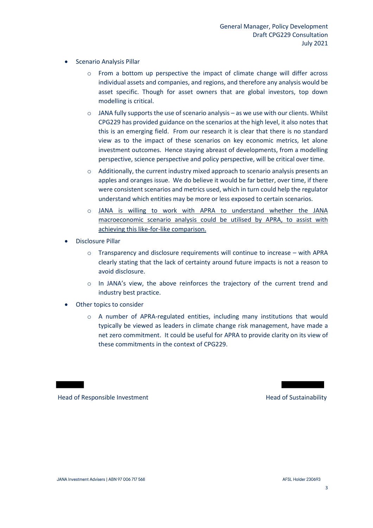- Scenario Analysis Pillar
	- o From a bottom up perspective the impact of climate change will differ across individual assets and companies, and regions, and therefore any analysis would be asset specific. Though for asset owners that are global investors, top down modelling is critical.
	- o JANA fully supports the use of scenario analysis as we use with our clients. Whilst CPG229 has provided guidance on the scenarios at the high level, it also notes that this is an emerging field. From our research it is clear that there is no standard view as to the impact of these scenarios on key economic metrics, let alone investment outcomes. Hence staying abreast of developments, from a modelling perspective, science perspective and policy perspective, will be critical over time.
	- $\circ$  Additionally, the current industry mixed approach to scenario analysis presents an apples and oranges issue. We do believe it would be far better, over time, if there were consistent scenarios and metrics used, which in turn could help the regulator understand which entities may be more or less exposed to certain scenarios.
	- o JANA is willing to work with APRA to understand whether the JANA macroeconomic scenario analysis could be utilised by APRA, to assist with achieving this like-for-like comparison.
- Disclosure Pillar
	- $\circ$  Transparency and disclosure requirements will continue to increase with APRA clearly stating that the lack of certainty around future impacts is not a reason to avoid disclosure.
	- o In JANA's view, the above reinforces the trajectory of the current trend and industry best practice.
- Other topics to consider
	- o A number of APRA-regulated entities, including many institutions that would typically be viewed as leaders in climate change risk management, have made a net zero commitment. It could be useful for APRA to provide clarity on its view of these commitments in the context of CPG229.

Head of Responsible Investment **Head of Sustainability** Head of Sustainability